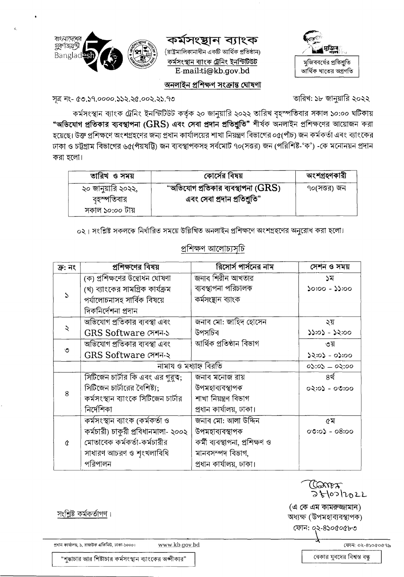

### কৰ্মসংস্থান ব্যাংক

(রাষ্ট্রমালিকানাধীন একটি আর্থিক প্রতিষ্ঠান) কৰ্মসংস্থান ব্যাংক ট্ৰেনিং ইনস্টিটিউট E-mail:ti@kb.gov.bd



#### অনলাইন প্ৰশিক্ষণ সংক্ৰান্ত ঘোষণা

তারিখ: ১৮ জানুয়ারি ২০২২

সূত্র নং- ৫৩.১৭.০০০০.১১২.২৫.০০২.২১.৭৩

কর্মসংস্থান ব্যাংক ট্রেনিং ইনস্টিটিউট কর্তৃক ২০ জানুয়ারি ২০২২ তারিখ বৃহস্পতিবার সকাল ১০:০০ ঘটিকায় "অভিযোগ প্রতিকার ব্যবস্থাপনা (GRS) এবং সেবা প্রদান প্রতিশ্রুতি" শীর্ষক অনলাইন প্রশিক্ষণের আয়োজন করা হয়েছে। উক্ত প্রশিক্ষণে অংশগ্রহণের জন্য প্রধান কার্যালয়ের শাখা নিয়ন্ত্রণ বিভাগের ০৫(পাঁচ) জন কর্মকর্তা এবং ব্যাংকের ঢাকা ও চট্টগ্রাম বিভাগের ৬৫(পঁয়ষট্টি) জন ব্যবস্থাপকসহ সর্বমোট ৭০(সত্তর) জন (পরিশিষ্ট-'ক') -কে মনোনয়ন প্রদান করা হলো।

| তারিখ ও সময়       | কোর্সের বিষয়                               | অংশগ্ৰহণকারী |
|--------------------|---------------------------------------------|--------------|
| ২০ জানুয়ারি ২০২২, | "অভিযোগ প্রতিকার ব্যবস্থাপনা ( $\rm{GRS}$ ) | ৭০(সত্তর) জন |
| বৃহস্পতিবার        | এবং সেবা প্রদান প্রতিশ্রুতি"                |              |
| সকাল ১০:০০ টায়    |                                             |              |

০২। সংশ্লিষ্ট সকলকে নির্ধারিত সময়ে উল্লিখিত অনলাইন প্রশিক্ষণে অংশগ্রহণের অনুরোধ করা হলো।

| ক্ৰ: নং | প্রশিক্ষণের বিষয়                   | রিসোর্স পার্সনের নাম           | সেশন ও সময়      |
|---------|-------------------------------------|--------------------------------|------------------|
| S       | (ক) প্রশিক্ষণের উদ্বোধন ঘোষণা       | জনাব শিরীন আখতার               | ১ম               |
|         | (খ) ব্যাংকের সামগ্রিক কার্যক্রম     | ব্যবস্থাপনা পরিচালক            | $0.260 - 2000$   |
|         | পৰ্যালোচনাসহ সাৰ্বিক বিষয়ে         | কৰ্মসংস্থান ব্যাংক             |                  |
|         | দিকনিৰ্দেশনা প্ৰদান                 |                                |                  |
|         | অভিযোগ প্রতিকার ব্যবস্থা এবং        | জনাব মো: জাহিদ হোসেন           | ২য়              |
| ২       | GRS Software সেশন-১                 | উপসচিব                         | ১১:০১ - ১২:০০    |
| ৩       | অভিযোগ প্রতিকার ব্যবস্থা এবং        | আৰ্থিক প্ৰতিষ্ঠান বিভাগ        | ৩য়              |
|         | GRS Software সেশন-২                 |                                | ০০:৫০ - ৫০:২৫    |
|         | নামায ও মধ্যাহ্ন বিরতি              |                                | $0$ 5:05 - 05:00 |
|         | সিটিজেন চার্টার কি এবং এর গুরুত্ব;  | জনাব মনোজ রায়                 | ৪র্থ             |
|         | সিটিজেন চার্টারের বৈশিষ্ট্য;        | উপমহাব্যবস্থাপক                | ০২:০১ - ০৩:০০    |
| 8       | কর্মসংস্থান ব্যাংকে সিটিজেন চার্টার | শাখা নিয়ন্ত্ৰণ বিভাগ          |                  |
|         | নিৰ্দেশিকা                          | প্রধান কার্যালয়, ঢাকা।        |                  |
| ¢       | কৰ্মসংস্থান ব্যাংক (কৰ্মকৰ্তা ও     | জনাব মো: আলা উদ্দিন            | ৫ম               |
|         | কর্মচারী) চাকুরী প্রবিধানমালা- ২০০২ | উপমহাব্যবস্থাপক                | $00:0$ ১ - 08:00 |
|         | মোতাবেক কর্মকর্তা-কর্মচারীর         | কৰ্মী ব্যবস্থাপনা, প্ৰশিক্ষণ ও |                  |
|         | সাধারণ আচরণ ও শৃংখলাবিধি            | মানবসম্পদ বিভাগ,               |                  |
|         | পরিপালন                             | প্রধান কার্যালয়, ঢাকা।        |                  |

#### প্ৰশিক্ষণ আলোচ্যসচি

সংশ্লিষ্ট কর্মকর্তাগণ।

প্রধান কার্যালয়, ১, রাজউক এডিনিউ, ঢাকা-১০০০।

www.kb.gov.bd

ফোন: ০২-৪১০৫০৫৭৯

うとしっしっとし

Caros

(এ কে এম কামরুজ্জামান)

অধ্যক্ষ (উপমহাব্যবস্থাপক) ফোন: ০২-৪১০৫০৫৮৩

"শুদ্ধাচার আর শিষ্টাচার কর্মসংস্থান ব্যাংকের অঙ্গীকার"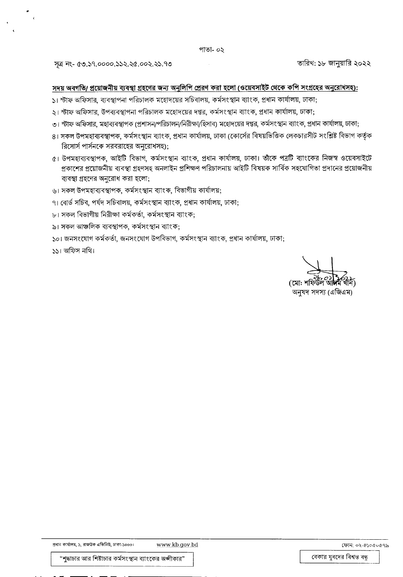সূত্র নং- ৫৩.১৭.০০০০.১১২.২৫.০০২.২১.৭৩

তারিখ: ১৮ জানুয়ারি ২০২২

#### সদয় অবগতি/ প্রয়োজনীয় ব্যবস্থা গ্রহণের জন্য অনুলিপি প্রেরণ করা হলো (ওয়েবসাইট থেকে কপি সংগ্রহের অনুরোধসহ):

- ১। স্টাফ অফিসার, ব্যবস্থাপনা পরিচালক মহোদয়ের সচিবালয়, কর্মসংস্থান ব্যাংক, প্রধান কার্যালয়, ঢাকা;
- ২। স্টাফ অফিসার, উপব্যবস্থাপনা পরিচালক মহোদয়ের দপ্তর, কর্মসংস্থান ব্যাংক, প্রধান কার্যালয়, ঢাকা;
- ৩। স্টাফ অফিসার, মহাব্যবস্থাপক (প্রশাসন/পরিচালন/নিরীক্ষা/হিসাব) মহোদয়ের দপ্তর, কর্মসংস্থান ব্যাংক, প্রধান কার্যালয়, ঢাকা;
- ৪। সকল উপমহাব্যবস্থাপক, কর্মসংস্থান ব্যাংক, প্রধান কার্যালয়, ঢাকা (কোর্সের বিষয়ভিত্তিক লেকচারসীট সংশ্লিষ্ট বিভাগ কর্তৃক রিসোর্স পার্সনকে সরবরাহের অনুরোধসহ);
- ৫। উপমহাব্যবস্থাপক, আইটি বিভাগ, কর্মসংস্থান ব্যাংক, প্রধান কার্যালয়, ঢাকা। তাঁকে পত্রটি ব্যাংকের নিজস্ব ওয়েবসাইটে প্রকাশের প্রয়োজনীয় ব্যবস্থা গ্রহণসহ অনলাইন প্রশিক্ষণ পরিচালনায় আইটি বিষয়ক সার্বিক সহযোগিতা প্রদানের প্রয়োজনীয় ব্যবস্থা গ্রহণের অনুরোধ করা হলো;
- ৬। সকল উপমহাব্যবস্থাপক, কর্মসংস্থান ব্যাংক, বিভাগীয় কার্যালয়;
- ৭। বোর্ড সচিব, পর্যদ সচিবালয়, কর্মসংস্থান ব্যাংক, প্রধান কার্যালয়, ঢাকা;
- ৮। সকল বিভাগীয় নিরীক্ষা কর্মকর্তা, কর্মসংস্থান ব্যাংক;
- ৯। সকল আঞ্চলিক ব্যবস্থাপক, কর্মসংস্থান ব্যাংক;

১০। জনসংযোগ কর্মকর্তা, জনসংযোগ উপবিভাগ, কর্মসংস্থান ব্যাংক, প্রধান কার্যালয়, ঢাকা;

১১। অফিস নথি।

(মো: শা অনুষদ সদস্য (এজিএম)

প্রধান কার্যালয়, ১, রাজউক এভিনিউ, ঢাকা-১০০০।

ফোন: ০২-৪১০৫০৫৭৯

"শুদ্ধাচার আর শিষ্টাচার কর্মসংস্থান ব্যাংকের অঙ্গীকার"

বেকার যুবদের বিশ্বস্ত বন্ধু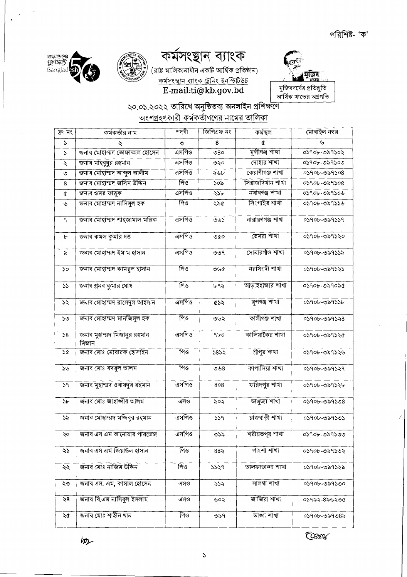



# E-mail:ti@kb.gov.bd

## ২০.০১.২০২২ তারিখে অনুষ্ঠিতব্য অনলাইন প্রশিক্ষণে <u>অংশগ্রহণকারী কর্মকর্তাগণের নামের তালিকা</u>

| ক্ৰ: নং       | কমকতার নাম                           | পদবা    | াজাপএফ নং   | কমস্থল           | মোবাহল নম্বর |
|---------------|--------------------------------------|---------|-------------|------------------|--------------|
| $\Delta$      | ২                                    | ৩       | 8           | đ                | ىل           |
| $\Delta$      | জনাব মোহাম্মদ তোফাজ্জল হোসেন         | এসপিও   | 080         | মুন্সীগঞ্জ শাখা  | 03906-029302 |
| $\lambda$     | জনাব মাহবুবুর রহমান                  | এসপিও   | ৩২০         | দোহার শাখা       | ০১৭০৮-৩৯৭১০৩ |
| ৩             | জনাব মোহাম্মদ আব্দুল আলীম            | এসপিও   | ২৬৮         | কেরাণীগঞ্জ শাখা  | 03906-029308 |
| 8             | জনাব মোহাম্মদ জসিম উদ্দিন            | পিও     | ১০৯         | সিরাজদিখান শাখা  | 03906-029306 |
| ¢             | জনাব ওমর ফারুক                       | এসপিও   | ২১৮         | নবাবগঞ্জ শাখা    | ০১৭০৮-৩৯৭১০৬ |
| $\mathcal{G}$ | জনাব মোহাম্মদ নাসিমূল হক             | পিও     | २२८         | সিংগাইর শাখা     | ০১৭০৮-৩৯৭১১৬ |
| $\mathbf{q}$  | জনাব মোহাম্মদ শাহজামাল মল্লিক        | এসপিও   | ৩৬১         | নারায়ণগঞ্জ শাখা | 03906-029339 |
| ৮             | জনাব কমল কুমার দত্ত                  | এসপিও   | 000         | ডেমরা শাখা       | ০১৭০৮-৩৯৭১২০ |
| $\delta$      | জনাব মোহাম্মদ ইমাম হাসান             | ত্ৰসপিও | ৩৩৭         | সোনারগাঁও শাখা   | ০১৭০৮-৩৯৭১১৯ |
| ১০            | জনাব মোহাম্মদ কামরুল হাসান           | পিও     | 0.66        | নরসিংদী শাখা     | 03906-029323 |
| 55            | জনাব প্ৰনব কুমার ঘোষ                 | পিও     | ৮৭২         | আড়াইহাজার শাখা  | ০১৭০৮-৩৯৭০৯৫ |
| ১২            | জনাব মোহাম্মদ রাসেদুল আহসান          | এসপিও   | $\alpha$    | বুপগঞ্জ শাখা     | 05906-029556 |
| ১৩            | জনাব মোহাম্মদ মানজিমুল হক            | পিও     | ৩৬২         | কালীগঞ্জ শাখা    | 03906-029328 |
| 58            | জনাব মুহাম্মদ মিজানুর রহমান<br>মিজান | এসপিও   | 9b0         | কালিয়াকৈর শাখা  | 05906-059520 |
| 5¢            | জনাব মোঃ মোবারক হোসাইন               | পিও     | 5852        | শ্ৰীপুর শাখা     | ০১৭০৮-৩৯৭১২৬ |
| ১৬            | জনাব মোঃ বদরুল আলম                   | পিও     | 0.58        | কাপাসিয়া শাখা   | 05906-029529 |
| 59            | জনাব মুহাম্মদ ওবায়দুর রহমান         | ত্ৰসপিও | 808         | ফরিদপুর শাখা     | ০১৭০৮-৩৯৭১২৮ |
| ১৮            | জনাব মোঃ জাহাজীর আলম                 | এসও     | ৯০২         | ডামুড্যা শাখা    | 03906-029308 |
| ১৯            | জনাব মোহাম্মদ মজিবুর রহমান           | এসপিও   | 559         | রাজবাড়ী শাখা    | ০১৭০৮-৩৯৭১৩১ |
| ২০            | জনাব এস এম আনোয়ার পারভেজ            | এসপিও   | ৩১৯         | শরীয়তপুর শাখা   | ০১৭০৮-৩৯৭১৩৩ |
| ২১            | জনাব এস এম জিয়াউল হাসান             | পিও     | $88\lambda$ | পাংশা শাখা       | ০১৭০৮-৩৯৭১৩২ |
| ২২            | জনাব মোঃ নাজিম উদ্দিন                | পিও     | 5529        | আলফাডাজা শাখা    | ০১৭০৮-৩৯৭১২৯ |
| ২৩            | জনাব এস. এম, কামাল হোসেন             | এসও     | ৯১২         | সালথা শাখা       | ০১৭০৮-৩৯৭১৩০ |
| ২৪            | জনাব বি.এম নাসিরুল ইসলাম             | এসও     | ৬০২         | জাজিরা শাখা      | ০১৭৯২-৪৯৬২৩৫ |
| ২৫            | জনাব মোঃ শাহীন খান                   | পিও     | ৩৯৭         | তাজা শাখা        | ০১৭০৮-৩৯৭৩৪৯ |

Com

ins

ৰাংনামেশের<br>যুদ্রণঙ্গান্তী<br>Banglad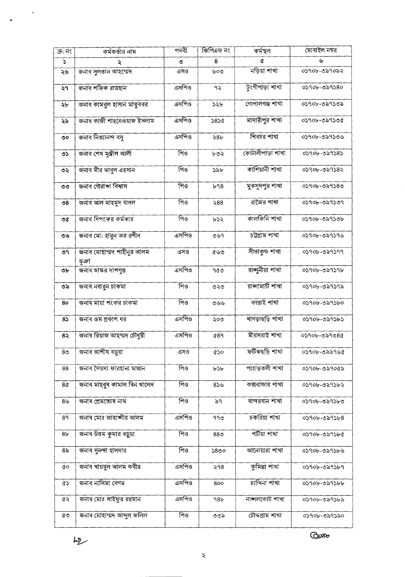$h_{\mathcal{Z}}$ 

 $\bar{\mathcal{A}}$ 

Com

| ক্ৰ: নং        | কর্মকর্তার নাম                    | পদবী         | জিপিএফ নং       | কৰ্মস্থল         | মোবাইল নম্বর   |
|----------------|-----------------------------------|--------------|-----------------|------------------|----------------|
| S              | ২                                 | ৩            | 8               | a                | ىل             |
| ২৬             | জনাব সুলতান আহম্মেদ               | এসও          | ৬০৩             | নড়িয়া শাখা     | ০১৭০৮-৩৯৭০৯২   |
| ২৭             | জনাব শফিক রায়হান                 | এসপিও        | ৭২              | ট্ংগীপাড়া শাখা  | 03906-029380   |
| ২৮             | জনাব কামরুল হাসান মাতৃববর         | এসপিও        | ১২৮             | গোপালগঞ্জ শাখা   | ০১৭০৮-৩৯৭১৩৯   |
| ২৯             | জনাব কাজী শাহনেওয়াজ ইসলাম        | এসপিও        | 5850            | মাদারীপুর শাখা   | ০১৭০৮-৩৯৭১৩৫   |
| ৩০             | জনাৰ নিত্যানন্দ ৰস                | এসপিও        | 28 <sub>r</sub> | শিবচর শাখা       | ০১৭০৮-৩৯৭১৩৬   |
| ৩১             | জনাব শেখ মুঞ্জীল আলী              | পিও          | ৮৩২             | কোটালীপাড়া শাখা | ০১৭০৮-৩৯৭১৪১   |
| ৩২             | জনাৰ মীর আবুল এহসান               | ৰ্ণিও        | ১৯৮             | কাশিয়ানী শাখা   | 03906-029382   |
| ৩৩             | জনাৰ গৌৱাজ্ঞা বিশ্বাস             | পিও          | b98             | মুকসুদপুর শাখা   | ০১৭০৮-৩৯৭১৪৩   |
| ৩৪             | জনাব আল মাহমুদ বাদল               | পিও          | $\geqslant$ 88  | রাজৈর শাখা       | ০১৭০৮-৩৯৭১৩৭   |
| ৩৫             | জনাব দিপংকর কর্মকার               | পিও          | ৮১২             | কালকিনি শাখা     | 03906-029306   |
| ৩৬             | জনাব মো: হারুন অর রশীদ            | <u>এসপিও</u> | ৩৬৭             | চট্টগ্ৰাম শাখা   | ০১৭০৮-৩৯৭১৭৬   |
| ৩৭             | জনাৰ মোহাম্মদ শাহীনুর আলম<br>ভূঞা | এসও          | ৫৬৩             | সীতাকৃন্ড শাখা   | ় ০১৭০৮-৩৯৭১৭৭ |
| ৩৮             | জনাব ভাস্কর দাশগুপ্ত              | এসপিও        | ৭৫৩             | রাজুনীয়া শাখা   | ০১৭০৮-৩৯৭১৭৮   |
| ৩৯             | জনাব নবারুন চাকমা                 | পিও          | ৩২৩             | রাজামাটি শাখা    | ০১৭০৮-৩৯৭১৭৯   |
| 80             | জনাব মায়া শংকর চাকমা             | পিও          | ৩৬৬             | কাপ্তাই শাখা     | ০১৭০৮-৩৯৭১৮০   |
| 85             | জনাব ওম প্রকাশ ধর                 | এসপিও        | ২০৩             | খাগড়াছড়ি শাখা  | ০১৭০৮-৩৯৭১৮১   |
| $8\lambda$     | জনাব রিয়াজ আহম্মদ চৌধুরী         | এসপিও        | <b>089</b>      | মীরসরাই শাখা     | 0390৮-৩৯৭৩৪৫   |
| 8 <sub>0</sub> | জনাব আশীষ বড়ুয়া                 | এসও          | ৫১০             | ফটিকছড়ি শাখা    | ০১৭০৮-৩৯৯৭৬৫   |
| 88             | জনাব সৈয়দা ফারহানা মান্নান       | পিও          | ৮১৮             | পাহাড়তলী শাখা   | ০১৭০৮-৩৯৭০৫৯   |
| 8¢             | জনাব মাহবুব কামাল বিন খালেদ       | পিও          | 856             | কক্সবাজার শাখা   | ০১৭০৮-৩৯৭১৮২   |
| 8৬             | জনাব প্ৰেমতোষ নাথ                 | পিও          | ৯৭              | বান্দরবান শাখা   | ০১৭০৮-৩৯৭১৮৩   |
| 89             | জনাব মোঃ জাহাঙ্গীর আলম            | এসপিও        | ৭৭৩             | চকরিয়া শাখা     | 05906-029568   |
| 8 <sub>b</sub> | জনাব উত্তম কুমার বড়ুয়া          | পিও          | 88 <sub>0</sub> | পটিয়া শাখা      | ০১৭০৮-৩৯৭১৮৫   |
| ৪৯             | জনাব সুনন্দা হালদার               | পিও          | ১৪৩০            | আনোয়ারা শাখা    | ০১৭০৮-৩৯৭১৮৬   |
| ¢о             | জনাব খায়রুল আলম কবীর             | এসপিও        | ২৭৪             | কুমিল্লা শাখা    | ০১৭০৮-৩৯৭১৮৭   |
| <b>ري</b>      | জনাব নাসিমা বেগম                  | এসপিও        | 800             | চান্দিনা শাখা    | ০১৭০৮-৩৯৭১৮৮   |
| QS.            | জনাব মোঃ সাইফুর রহমান             | এসপিও        | 98 <sub>b</sub> | নাজলকোট শাখা     | ০১৭০৮-৩৯৭১৮৯   |
| ৫৩             | জনাব মোহাম্মদ আব্দুল জলিল         | পিও          | ৩৩৯             | চৌদ্দগ্ৰাম শাখা  | ০১৭০৮-৩৯৭১৯০   |

 $\boldsymbol{\zeta}$